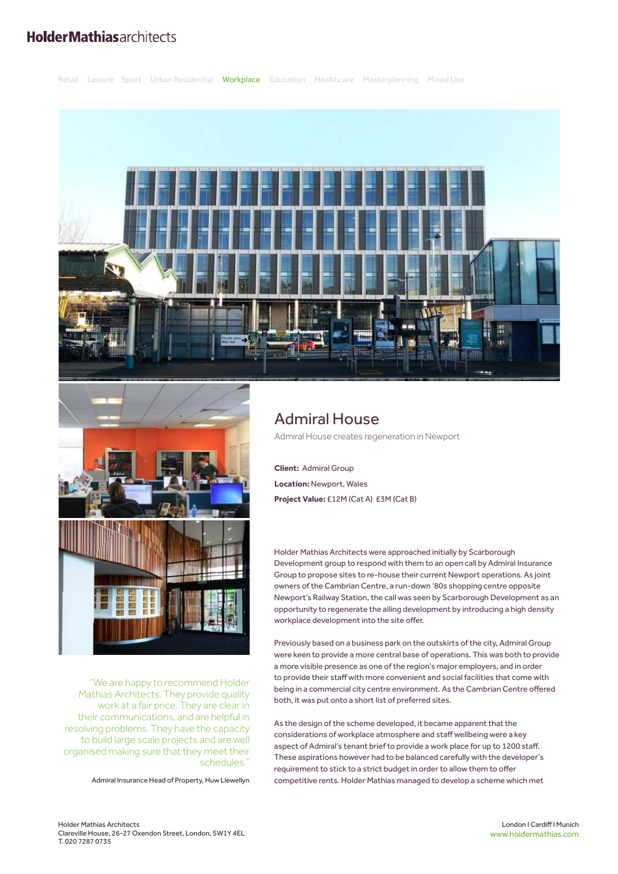## **HolderMathiasarchitects**







"We are happy to recommend Holder Mathias Architects. They provide quality work at a fair price. They are clear in their communications, and are helpful in resolving problems. They have the capacity to build large scale projects and are well organised making sure that they meet their schedules."

Admiral Insurance Head of Property, Huw Llewellyn

## Admiral House

Admiral House creates regeneration in Newport

**Client:** Admiral Group **Location:** Newport, Wales **Project Value:** £12M (Cat A) £3M (Cat B)

Holder Mathias Architects were approached initially by Scarborough Development group to respond with them to an open call by Admiral Insurance Group to propose sites to re-house their current Newport operations. As joint owners of the Cambrian Centre, a run-down '80s shopping centre opposite Newport's Railway Station, the call was seen by Scarborough Development as an opportunity to regenerate the ailing development by introducing a high density workplace development into the site offer.

Previously based on a business park on the outskirts of the city, Admiral Group were keen to provide a more central base of operations. This was both to provide a more visible presence as one of the region's major employers, and in order to provide their staff with more convenient and social facilities that come with being in a commercial city centre environment. As the Cambrian Centre offered both, it was put onto a short list of preferred sites.

As the design of the scheme developed, it became apparent that the considerations of workplace atmosphere and staff wellbeing were a key aspect of Admiral's tenant brief to provide a work place for up to 1200 staff. These aspirations however had to be balanced carefully with the developer's requirement to stick to a strict budget in order to allow them to offer competitive rents. Holder Mathias managed to develop a scheme which met